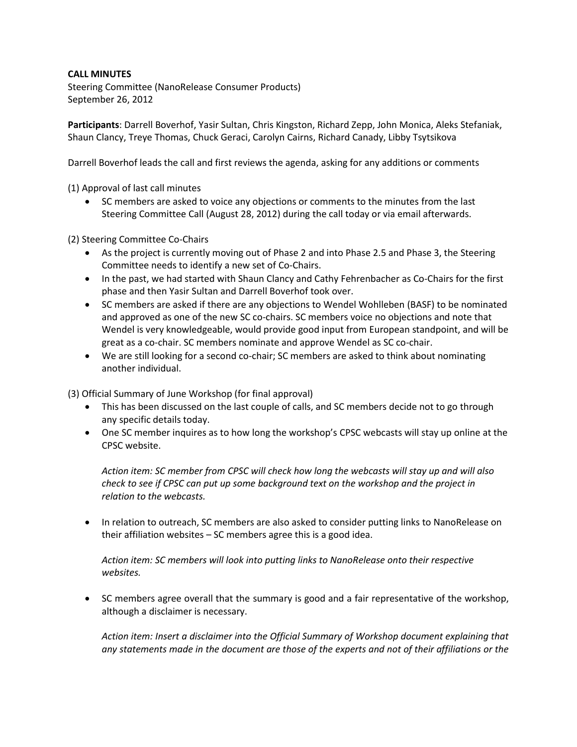## **CALL MINUTES**

Steering Committee (NanoRelease Consumer Products) September 26, 2012

**Participants**: Darrell Boverhof, Yasir Sultan, Chris Kingston, Richard Zepp, John Monica, Aleks Stefaniak, Shaun Clancy, Treye Thomas, Chuck Geraci, Carolyn Cairns, Richard Canady, Libby Tsytsikova

Darrell Boverhof leads the call and first reviews the agenda, asking for any additions or comments

(1) Approval of last call minutes

• SC members are asked to voice any objections or comments to the minutes from the last Steering Committee Call (August 28, 2012) during the call today or via email afterwards.

(2) Steering Committee Co-Chairs

- As the project is currently moving out of Phase 2 and into Phase 2.5 and Phase 3, the Steering Committee needs to identify a new set of Co-Chairs.
- In the past, we had started with Shaun Clancy and Cathy Fehrenbacher as Co-Chairs for the first phase and then Yasir Sultan and Darrell Boverhof took over.
- SC members are asked if there are any objections to Wendel Wohlleben (BASF) to be nominated and approved as one of the new SC co-chairs. SC members voice no objections and note that Wendel is very knowledgeable, would provide good input from European standpoint, and will be great as a co-chair. SC members nominate and approve Wendel as SC co-chair.
- We are still looking for a second co-chair; SC members are asked to think about nominating another individual.

(3) Official Summary of June Workshop (for final approval)

- This has been discussed on the last couple of calls, and SC members decide not to go through any specific details today.
- One SC member inquires as to how long the workshop's CPSC webcasts will stay up online at the CPSC website.

*Action item: SC member from CPSC will check how long the webcasts will stay up and will also check to see if CPSC can put up some background text on the workshop and the project in relation to the webcasts.*

• In relation to outreach, SC members are also asked to consider putting links to NanoRelease on their affiliation websites – SC members agree this is a good idea.

*Action item: SC members will look into putting links to NanoRelease onto their respective websites.*

 SC members agree overall that the summary is good and a fair representative of the workshop, although a disclaimer is necessary.

*Action item: Insert a disclaimer into the Official Summary of Workshop document explaining that any statements made in the document are those of the experts and not of their affiliations or the*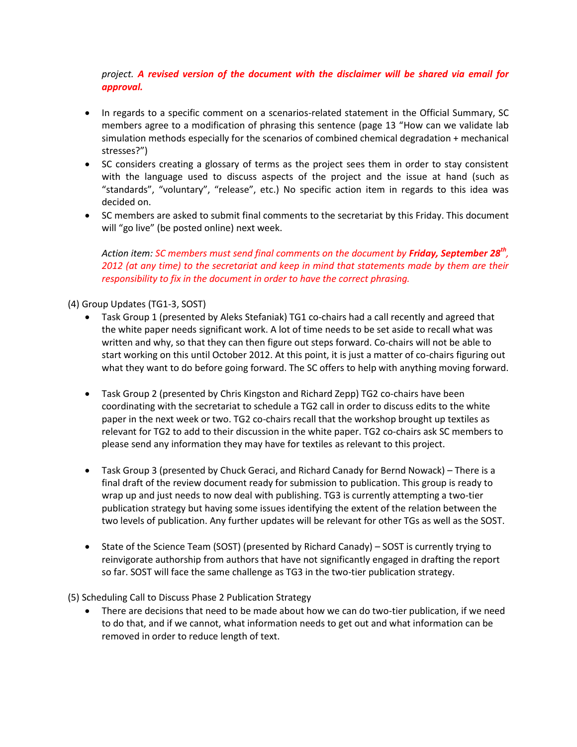## *project. A revised version of the document with the disclaimer will be shared via email for approval.*

- In regards to a specific comment on a scenarios-related statement in the Official Summary, SC members agree to a modification of phrasing this sentence (page 13 "How can we validate lab simulation methods especially for the scenarios of combined chemical degradation + mechanical stresses?")
- SC considers creating a glossary of terms as the project sees them in order to stay consistent with the language used to discuss aspects of the project and the issue at hand (such as "standards", "voluntary", "release", etc.) No specific action item in regards to this idea was decided on.
- SC members are asked to submit final comments to the secretariat by this Friday. This document will "go live" (be posted online) next week.

*Action item: SC members must send final comments on the document by Friday, September 28th , 2012 (at any time) to the secretariat and keep in mind that statements made by them are their responsibility to fix in the document in order to have the correct phrasing.*

## (4) Group Updates (TG1-3, SOST)

- Task Group 1 (presented by Aleks Stefaniak) TG1 co-chairs had a call recently and agreed that the white paper needs significant work. A lot of time needs to be set aside to recall what was written and why, so that they can then figure out steps forward. Co-chairs will not be able to start working on this until October 2012. At this point, it is just a matter of co-chairs figuring out what they want to do before going forward. The SC offers to help with anything moving forward.
- Task Group 2 (presented by Chris Kingston and Richard Zepp) TG2 co-chairs have been coordinating with the secretariat to schedule a TG2 call in order to discuss edits to the white paper in the next week or two. TG2 co-chairs recall that the workshop brought up textiles as relevant for TG2 to add to their discussion in the white paper. TG2 co-chairs ask SC members to please send any information they may have for textiles as relevant to this project.
- Task Group 3 (presented by Chuck Geraci, and Richard Canady for Bernd Nowack) There is a final draft of the review document ready for submission to publication. This group is ready to wrap up and just needs to now deal with publishing. TG3 is currently attempting a two-tier publication strategy but having some issues identifying the extent of the relation between the two levels of publication. Any further updates will be relevant for other TGs as well as the SOST.
- State of the Science Team (SOST) (presented by Richard Canady) SOST is currently trying to reinvigorate authorship from authors that have not significantly engaged in drafting the report so far. SOST will face the same challenge as TG3 in the two-tier publication strategy.

(5) Scheduling Call to Discuss Phase 2 Publication Strategy

 There are decisions that need to be made about how we can do two-tier publication, if we need to do that, and if we cannot, what information needs to get out and what information can be removed in order to reduce length of text.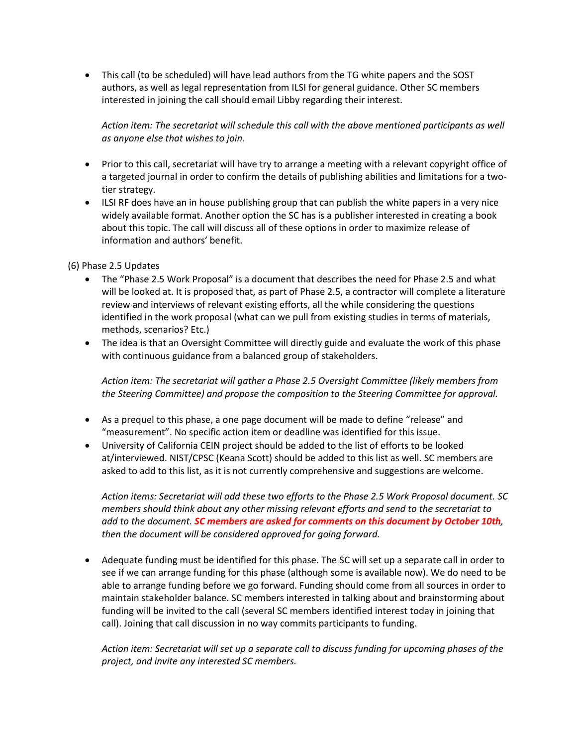This call (to be scheduled) will have lead authors from the TG white papers and the SOST authors, as well as legal representation from ILSI for general guidance. Other SC members interested in joining the call should email Libby regarding their interest.

*Action item: The secretariat will schedule this call with the above mentioned participants as well as anyone else that wishes to join.*

- Prior to this call, secretariat will have try to arrange a meeting with a relevant copyright office of a targeted journal in order to confirm the details of publishing abilities and limitations for a twotier strategy.
- ILSI RF does have an in house publishing group that can publish the white papers in a very nice widely available format. Another option the SC has is a publisher interested in creating a book about this topic. The call will discuss all of these options in order to maximize release of information and authors' benefit.

## (6) Phase 2.5 Updates

- The "Phase 2.5 Work Proposal" is a document that describes the need for Phase 2.5 and what will be looked at. It is proposed that, as part of Phase 2.5, a contractor will complete a literature review and interviews of relevant existing efforts, all the while considering the questions identified in the work proposal (what can we pull from existing studies in terms of materials, methods, scenarios? Etc.)
- The idea is that an Oversight Committee will directly guide and evaluate the work of this phase with continuous guidance from a balanced group of stakeholders.

*Action item: The secretariat will gather a Phase 2.5 Oversight Committee (likely members from the Steering Committee) and propose the composition to the Steering Committee for approval.*

- As a prequel to this phase, a one page document will be made to define "release" and "measurement". No specific action item or deadline was identified for this issue.
- University of California CEIN project should be added to the list of efforts to be looked at/interviewed. NIST/CPSC (Keana Scott) should be added to this list as well. SC members are asked to add to this list, as it is not currently comprehensive and suggestions are welcome.

*Action items: Secretariat will add these two efforts to the Phase 2.5 Work Proposal document. SC members should think about any other missing relevant efforts and send to the secretariat to add to the document. SC members are asked for comments on this document by October 10th, then the document will be considered approved for going forward.*

 Adequate funding must be identified for this phase. The SC will set up a separate call in order to see if we can arrange funding for this phase (although some is available now). We do need to be able to arrange funding before we go forward. Funding should come from all sources in order to maintain stakeholder balance. SC members interested in talking about and brainstorming about funding will be invited to the call (several SC members identified interest today in joining that call). Joining that call discussion in no way commits participants to funding.

*Action item: Secretariat will set up a separate call to discuss funding for upcoming phases of the project, and invite any interested SC members.*